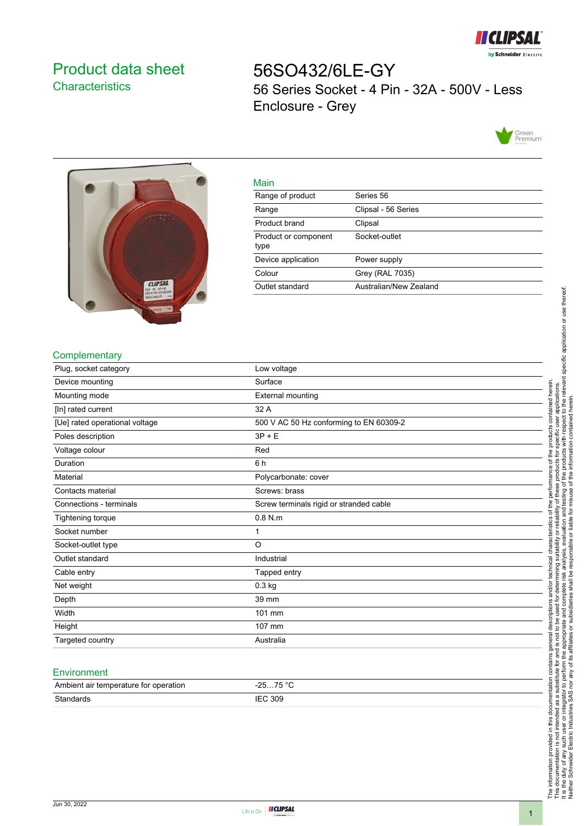

## <span id="page-0-0"></span>Product data sheet **Characteristics**

56SO432/6LE-GY 56 Series Socket - 4 Pin - 32A - 500V - Less Enclosure - Grey





|  | ٠ |
|--|---|
|  |   |

| <b>Mall</b>                  |                        |
|------------------------------|------------------------|
| Range of product             | Series 56              |
| Range                        | Clipsal - 56 Series    |
| Product brand                | Clipsal                |
| Product or component<br>type | Socket-outlet          |
| Device application           | Power supply           |
| Colour                       | Grey (RAL 7035)        |
| Outlet standard              | Australian/New Zealand |
|                              |                        |

#### **Complementary**

| Plug, socket category          | Low voltage                             |
|--------------------------------|-----------------------------------------|
| Device mounting                | Surface                                 |
| Mounting mode                  | <b>External mounting</b>                |
| [In] rated current             | 32 A                                    |
| [Ue] rated operational voltage | 500 V AC 50 Hz conforming to EN 60309-2 |
| Poles description              | $3P + E$                                |
| Voltage colour                 | Red                                     |
| Duration                       | 6 h                                     |
| Material                       | Polycarbonate: cover                    |
| Contacts material              | Screws: brass                           |
| Connections - terminals        | Screw terminals rigid or stranded cable |
| Tightening torque              | $0.8$ N.m                               |
| Socket number                  | 1                                       |
| Socket-outlet type             | O                                       |
| Outlet standard                | Industrial                              |
| Cable entry                    | Tapped entry                            |
| Net weight                     | 0.3 kg                                  |
| Depth                          | 39 mm                                   |
| Width                          | 101 mm                                  |
| Height                         | 107 mm                                  |
| Targeted country               | Australia                               |
|                                |                                         |
| Environment                    |                                         |

# Ambient air temperature for operation -25...75 °C Standards IEC 309